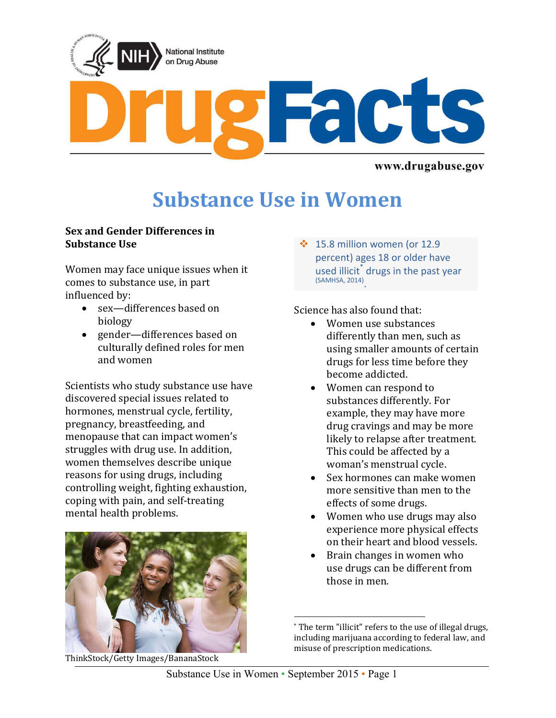

www.drugabuse.gov

# **Substance Use in Women**

#### **Sex and Gender Differences in Substance Use**

Women may face unique issues when it comes to substance use, in part influenced by:

- sex—differences based on biology
- gender—differences based on culturally defined roles for men and women

Scientists who study substance use have discovered special issues related to hormones, menstrual cycle, fertility, pregnancy, breastfeeding, and menopause that can impact women's struggles with drug use. In addition, women themselves describe unique reasons for using drugs, including controlling weight, fighting exhaustion, coping with pain, and self-treating mental health problems.



ThinkStock/Getty Images/BananaStock

 $\div$  15.8 million women (or 12.9 percent) ages 18 or older have used illicit<sup>\*</sup> drugs in the past year (SAMHSA, 2014) .

Science has also found that:

- Women use substances differently than men, such as using smaller amounts of certain drugs for less time before they become addicted.
- Women can respond to substances differently. For example, they may have more drug cravings and may be more likely to relapse after treatment. This could be affected by a woman's menstrual cycle.
- Sex hormones can make women more sensitive than men to the effects of some drugs.
- Women who use drugs may also experience more physical effects on their heart and blood vessels.
- Brain changes in women who use drugs can be different from those in men.

 $\overline{\phantom{a}}$ \* The term "illicit" refers to the use of illegal drugs, including marijuana according to federal law, and misuse of prescription medications.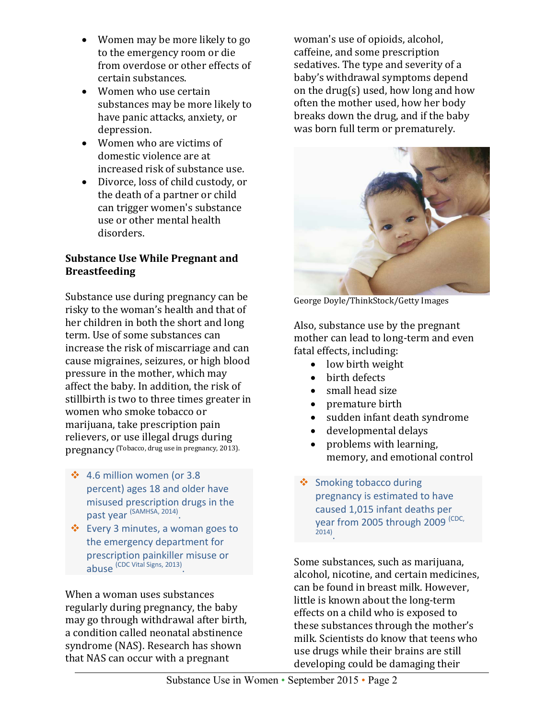- Women may be more likely to go to the emergency room or die from overdose or other effects of certain substances.
- Women who use certain substances may be more likely to have panic attacks, anxiety, or depression.
- Women who are victims of domestic violence are at increased risk of substance use.
- Divorce, loss of child custody, or the death of a partner or child can trigger women's substance use or other mental health disorders.

## **Substance Use While Pregnant and Breastfeeding**

Substance use during pregnancy can be risky to the woman's health and that of her children in both the short and long term. Use of some substances can increase the risk of miscarriage and can cause migraines, seizures, or high blood pressure in the mother, which may affect the baby. In addition, the risk of stillbirth is two to three times greater in women who smoke tobacco or marijuana, take prescription pain relievers, or use illegal drugs during pregnancy (Tobacco, drug use in pregnancy, 2013).

- $\div$  4.6 million women (or 3.8 percent) ages 18 and older have misused prescription drugs in the past year <sup>(SAMHSA, 2014)</sup>.
- Every 3 minutes, a woman goes to the emergency department for prescription painkiller misuse or abuse (CDC Vital Signs, 2013).

When a woman uses substances regularly during pregnancy, the baby may go through withdrawal after birth, a condition called neonatal abstinence syndrome (NAS). Research has shown that NAS can occur with a pregnant

woman's use of opioids, alcohol, caffeine, and some prescription sedatives. The type and severity of a baby's withdrawal symptoms depend on the drug(s) used, how long and how often the mother used, how her body breaks down the drug, and if the baby was born full term or prematurely.



George Doyle/ThinkStock/Getty Images

Also, substance use by the pregnant mother can lead to long-term and even fatal effects, including:

- low birth weight
- birth defects
- small head size
- premature birth
- sudden infant death syndrome
- developmental delays
- problems with learning, memory, and emotional control
- ❖ Smoking tobacco during pregnancy is estimated to have caused 1,015 infant deaths per year from 2005 through 2009 (CDC, 2014) .

Some substances, such as marijuana, alcohol, nicotine, and certain medicines, can be found in breast milk. However, little is known about the long-term effects on a child who is exposed to these substances through the mother's milk. Scientists do know that teens who use drugs while their brains are still developing could be damaging their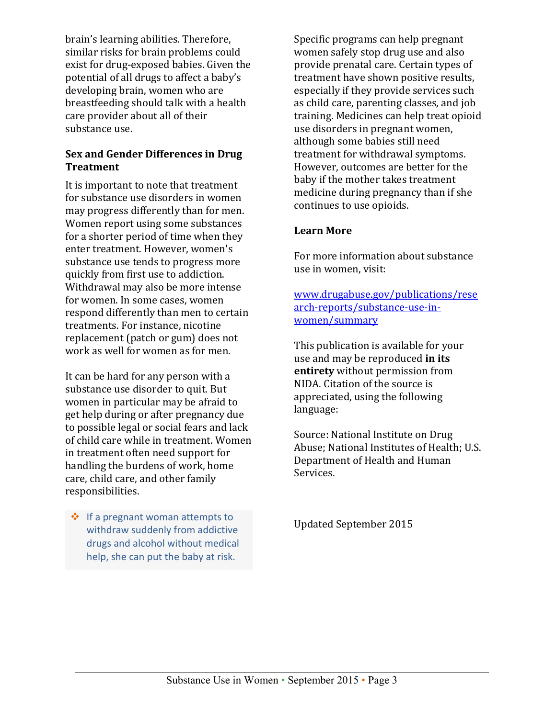brain's learning abilities. Therefore, similar risks for brain problems could exist for drug-exposed babies. Given the potential of all drugs to affect a baby's developing brain, women who are breastfeeding should talk with a health care provider about all of their substance use.

## **Sex and Gender Differences in Drug Treatment**

It is important to note that treatment for substance use disorders in women may progress differently than for men. Women report using some substances for a shorter period of time when they enter treatment. However, women's substance use tends to progress more quickly from first use to addiction. Withdrawal may also be more intense for women. In some cases, women respond differently than men to certain treatments. For instance, nicotine replacement (patch or gum) does not work as well for women as for men.

It can be hard for any person with a substance use disorder to quit. But women in particular may be afraid to get help during or after pregnancy due to possible legal or social fears and lack of child care while in treatment. Women in treatment often need support for handling the burdens of work, home care, child care, and other family responsibilities.

 $\div$  If a pregnant woman attempts to withdraw suddenly from addictive drugs and alcohol without medical help, she can put the baby at risk.

Specific programs can help pregnant women safely stop drug use and also provide prenatal care. Certain types of treatment have shown positive results, especially if they provide services such as child care, parenting classes, and job training. Medicines can help treat opioid use disorders in pregnant women, although some babies still need treatment for withdrawal symptoms. However, outcomes are better for the baby if the mother takes treatment medicine during pregnancy than if she continues to use opioids.

## **Learn More**

For more information about substance use in women, visit:

[www.drugabuse.gov/publications/rese](http://www.drugabuse.gov/publications/research-reports/substance-use-in-women/summary) [arch-reports/substance-use-in](http://www.drugabuse.gov/publications/research-reports/substance-use-in-women/summary)[women/summary](http://www.drugabuse.gov/publications/research-reports/substance-use-in-women/summary)

This publication is available for your use and may be reproduced **in its entirety** without permission from NIDA. Citation of the source is appreciated, using the following language:

Source: National Institute on Drug Abuse; National Institutes of Health; U.S. Department of Health and Human Services.

Updated September 2015